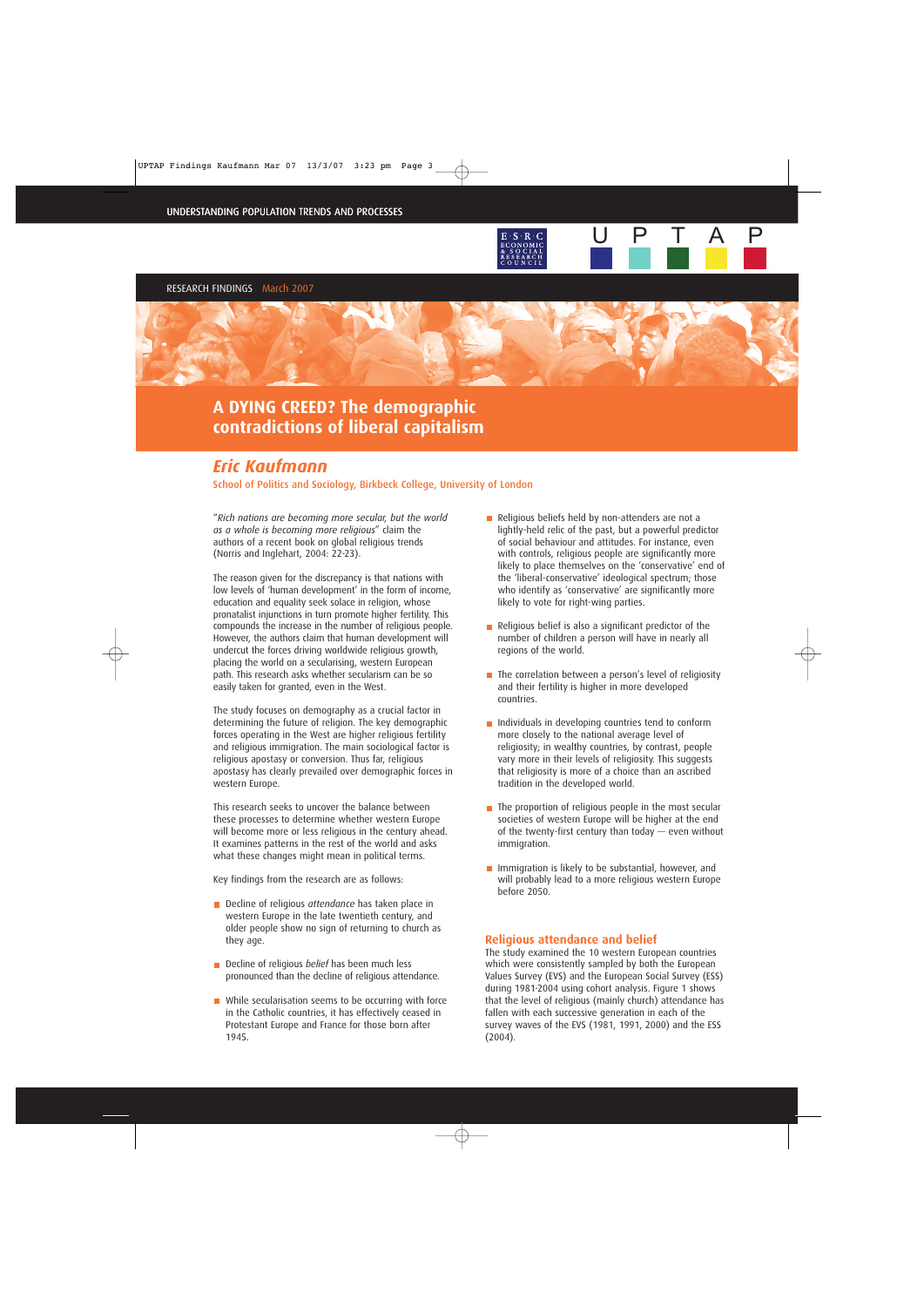RESEARCH FINDINGS March 2007



# *Eric Kaufmann*

School of Politics and Sociology, Birkbeck College, University of London

"*Rich nations are becoming more secular, but the world as a whole is becoming more religious*" claim the authors of a recent book on global religious trends (Norris and Inglehart, 2004: 22-23).

The reason given for the discrepancy is that nations with low levels of 'human development' in the form of income, education and equality seek solace in religion, whose pronatalist injunctions in turn promote higher fertility. This compounds the increase in the number of religious people. However, the authors claim that human development will undercut the forces driving worldwide religious growth, placing the world on a secularising, western European path. This research asks whether secularism can be so easily taken for granted, even in the West.

The study focuses on demography as a crucial factor in determining the future of religion. The key demographic forces operating in the West are higher religious fertility and religious immigration. The main sociological factor is religious apostasy or conversion. Thus far, religious apostasy has clearly prevailed over demographic forces in western Europe.

This research seeks to uncover the balance between these processes to determine whether western Europe will become more or less religious in the century ahead. It examines patterns in the rest of the world and asks what these changes might mean in political terms.

Key findings from the research are as follows:

- **Decline of religious** *attendance* has taken place in western Europe in the late twentieth century, and older people show no sign of returning to church as they age.
- **Decline of religious** *belief* has been much less pronounced than the decline of religious attendance.
- While secularisation seems to be occurring with force in the Catholic countries, it has effectively ceased in Protestant Europe and France for those born after 1945.

Religious beliefs held by non-attenders are not a lightly-held relic of the past, but a powerful predictor of social behaviour and attitudes. For instance, even with controls, religious people are significantly more likely to place themselves on the 'conservative' end of the 'liberal-conservative' ideological spectrum; those who identify as 'conservative' are significantly more likely to vote for right-wing parties.

U P

T A P

- $\blacksquare$  Religious belief is also a significant predictor of the number of children a person will have in nearly all regions of the world.
- $\blacksquare$  The correlation between a person's level of religiosity and their fertility is higher in more developed countries.
- Individuals in developing countries tend to conform more closely to the national average level of religiosity; in wealthy countries, by contrast, people vary more in their levels of religiosity. This suggests that religiosity is more of a choice than an ascribed tradition in the developed world.
- $\blacksquare$  The proportion of religious people in the most secular societies of western Europe will be higher at the end of the twenty-first century than today — even without immigration.
- **Immigration is likely to be substantial, however, and** will probably lead to a more religious western Europe before 2050.

## **Religious attendance and belief**

The study examined the 10 western European countries which were consistently sampled by both the European Values Survey (EVS) and the European Social Survey (ESS) during 1981-2004 using cohort analysis. Figure 1 shows that the level of religious (mainly church) attendance has fallen with each successive generation in each of the survey waves of the EVS (1981, 1991, 2000) and the ESS (2004).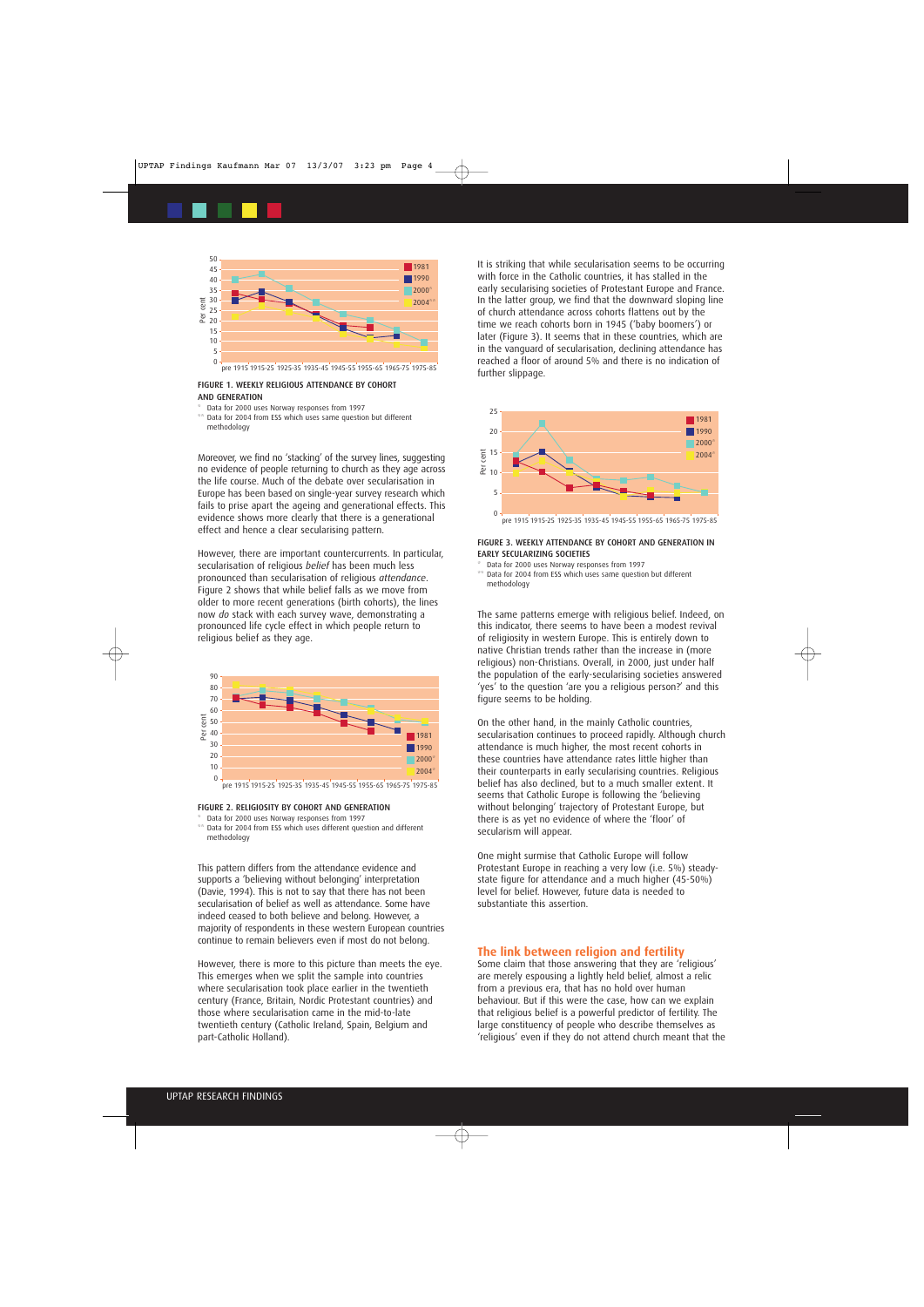

pre 1915 1915-25 1925-35 1935-45 1945-55 1955-65 1965-75 1975-85

#### FIGURE 1. WEEKLY RELIGIOUS ATTENDANCE BY COHORT AND GENERATION

Data for 2000 uses Norway responses from 1997 \*\* Data for 2004 from ESS which uses same question but different methodology

Moreover, we find no 'stacking' of the survey lines, suggesting no evidence of people returning to church as they age across the life course. Much of the debate over secularisation in Europe has been based on single-year survey research which fails to prise apart the ageing and generational effects. This evidence shows more clearly that there is a generational effect and hence a clear secularising pattern.

However, there are important countercurrents. In particular, secularisation of religious *belief* has been much less pronounced than secularisation of religious *attendance*. Figure 2 shows that while belief falls as we move from older to more recent generations (birth cohorts), the lines now *do* stack with each survey wave, demonstrating a pronounced life cycle effect in which people return to religious belief as they age.



#### FIGURE 2. RELIGIOSITY BY COHORT AND GENERATION

- Data for 2000 uses Norway responses from 1997 \*\* Data for 2004 from ESS which uses different question and different
- methodology

This pattern differs from the attendance evidence and supports a 'believing without belonging' interpretation (Davie, 1994). This is not to say that there has not been secularisation of belief as well as attendance. Some have indeed ceased to both believe and belong. However, a majority of respondents in these western European countries continue to remain believers even if most do not belong.

However, there is more to this picture than meets the eye. This emerges when we split the sample into countries where secularisation took place earlier in the twentieth century (France, Britain, Nordic Protestant countries) and those where secularisation came in the mid-to-late twentieth century (Catholic Ireland, Spain, Belgium and part-Catholic Holland).

It is striking that while secularisation seems to be occurring with force in the Catholic countries, it has stalled in the early secularising societies of Protestant Europe and France. In the latter group, we find that the downward sloping line of church attendance across cohorts flattens out by the time we reach cohorts born in 1945 ('baby boomers') or later (Figure 3). It seems that in these countries, which are in the vanguard of secularisation, declining attendance has reached a floor of around 5% and there is no indication of further slippage.



#### FIGURE 3. WEEKLY ATTENDANCE BY COHORT AND GENERATION IN EARLY SECULARIZING SOCIETIES

- Data for 2000 uses Norway responses from 1997
- Data for 2004 from ESS which uses same question but different methodology

The same patterns emerge with religious belief. Indeed, on this indicator, there seems to have been a modest revival of religiosity in western Europe. This is entirely down to native Christian trends rather than the increase in (more religious) non-Christians. Overall, in 2000, just under half the population of the early-secularising societies answered 'yes' to the question 'are you a religious person?' and this figure seems to be holding.

On the other hand, in the mainly Catholic countries, secularisation continues to proceed rapidly. Although church attendance is much higher, the most recent cohorts in these countries have attendance rates little higher than their counterparts in early secularising countries. Religious belief has also declined, but to a much smaller extent. It seems that Catholic Europe is following the 'believing without belonging' trajectory of Protestant Europe, but there is as yet no evidence of where the 'floor' of secularism will appear.

One might surmise that Catholic Europe will follow Protestant Europe in reaching a very low (i.e. 5%) steadystate figure for attendance and a much higher (45-50%) level for belief. However, future data is needed to substantiate this assertion.

## **The link between religion and fertility**

Some claim that those answering that they are 'religious' are merely espousing a lightly held belief, almost a relic from a previous era, that has no hold over human behaviour. But if this were the case, how can we explain that religious belief is a powerful predictor of fertility. The large constituency of people who describe themselves as 'religious' even if they do not attend church meant that the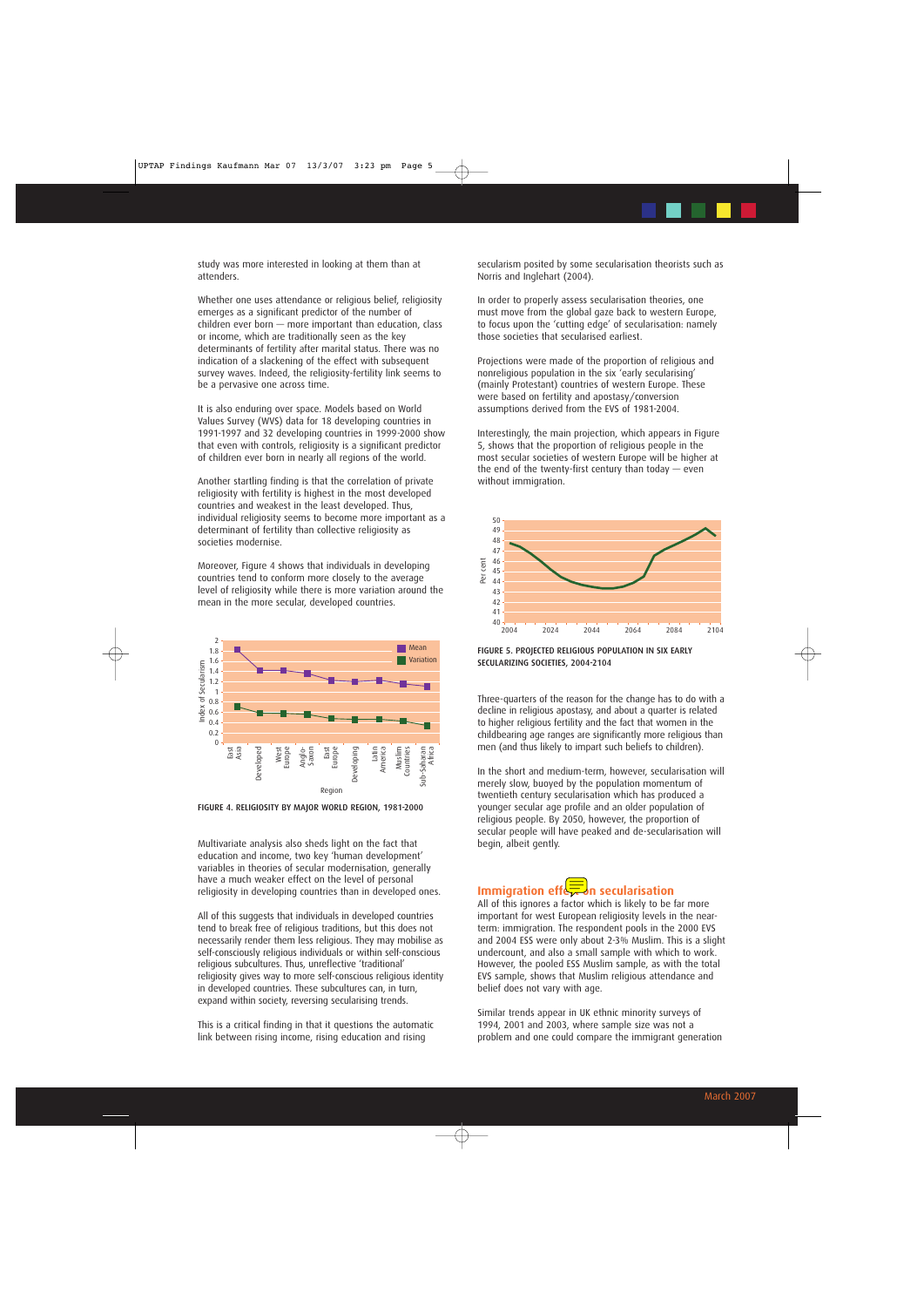study was more interested in looking at them than at attenders.

Whether one uses attendance or religious belief, religiosity emerges as a significant predictor of the number of children ever born — more important than education, class or income, which are traditionally seen as the key determinants of fertility after marital status. There was no indication of a slackening of the effect with subsequent survey waves. Indeed, the religiosity-fertility link seems to be a pervasive one across time.

It is also enduring over space. Models based on World Values Survey (WVS) data for 18 developing countries in 1991-1997 and 32 developing countries in 1999-2000 show that even with controls, religiosity is a significant predictor of children ever born in nearly all regions of the world.

Another startling finding is that the correlation of private religiosity with fertility is highest in the most developed countries and weakest in the least developed. Thus, individual religiosity seems to become more important as a determinant of fertility than collective religiosity as societies modernise.

Moreover, Figure 4 shows that individuals in developing countries tend to conform more closely to the average level of religiosity while there is more variation around the mean in the more secular, developed countries.



FIGURE 4. RELIGIOSITY BY MAJOR WORLD REGION, 1981-2000

Multivariate analysis also sheds light on the fact that education and income, two key 'human development' variables in theories of secular modernisation, generally have a much weaker effect on the level of personal religiosity in developing countries than in developed ones.

All of this suggests that individuals in developed countries tend to break free of religious traditions, but this does not necessarily render them less religious. They may mobilise as self-consciously religious individuals or within self-conscious religious subcultures. Thus, unreflective 'traditional' religiosity gives way to more self-conscious religious identity in developed countries. These subcultures can, in turn, expand within society, reversing secularising trends.

This is a critical finding in that it questions the automatic link between rising income, rising education and rising

secularism posited by some secularisation theorists such as Norris and Inglehart (2004).

In order to properly assess secularisation theories, one must move from the global gaze back to western Europe, to focus upon the 'cutting edge' of secularisation: namely those societies that secularised earliest.

Projections were made of the proportion of religious and nonreligious population in the six 'early secularising' (mainly Protestant) countries of western Europe. These were based on fertility and apostasy/conversion assumptions derived from the EVS of 1981-2004.

Interestingly, the main projection, which appears in Figure 5, shows that the proportion of religious people in the most secular societies of western Europe will be higher at the end of the twenty-first century than today  $-$  even without immigration.



FIGURE 5. PROJECTED RELIGIOUS POPULATION IN SIX EARLY SECULARIZING SOCIETIES, 2004-2104

Three-quarters of the reason for the change has to do with a decline in religious apostasy, and about a quarter is related to higher religious fertility and the fact that women in the childbearing age ranges are significantly more religious than men (and thus likely to impart such beliefs to children).

In the short and medium-term, however, secularisation will merely slow, buoyed by the population momentum of twentieth century secularisation which has produced a younger secular age profile and an older population of religious people. By 2050, however, the proportion of secular people will have peaked and de-secularisation will begin, albeit gently.

## **Immigration effector secularisation**

All of this ignores a factor which is likely to be far more important for west European religiosity levels in the nearterm: immigration. The respondent pools in the 2000 EVS and 2004 ESS were only about 2-3% Muslim. This is a slight undercount, and also a small sample with which to work. However, the pooled ESS Muslim sample, as with the total EVS sample, shows that Muslim religious attendance and belief does not vary with age.

Similar trends appear in UK ethnic minority surveys of 1994, 2001 and 2003, where sample size was not a problem and one could compare the immigrant generation